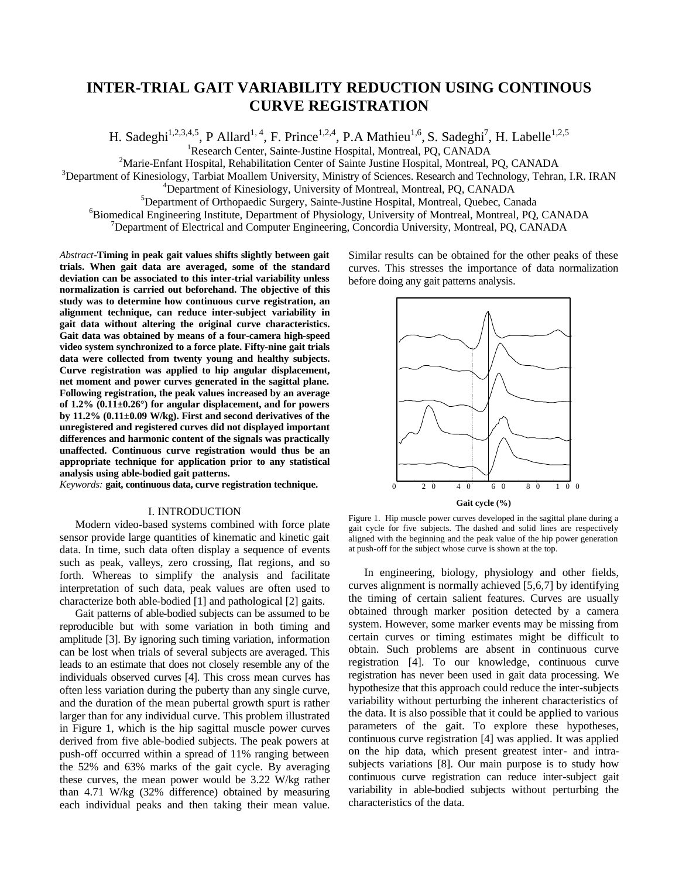# **INTER-TRIAL GAIT VARIABILITY REDUCTION USING CONTINOUS CURVE REGISTRATION**

H. Sadeghi<sup>1,2,3,4,5</sup>, P Allard<sup>1, 4</sup>, F. Prince<sup>1,2,4</sup>, P.A Mathieu<sup>1,6</sup>, S. Sadeghi<sup>7</sup>, H. Labelle<sup>1,2,5</sup>

<sup>1</sup>Research Center, Sainte-Justine Hospital, Montreal, PQ, CANADA

<sup>2</sup>Marie-Enfant Hospital, Rehabilitation Center of Sainte Justine Hospital, Montreal, PQ, CANADA

<sup>3</sup>Department of Kinesiology, Tarbiat Moallem University, Ministry of Sciences. Research and Technology, Tehran, I.R. IRAN

<sup>4</sup>Department of Kinesiology, University of Montreal, Montreal, PQ, CANADA

<sup>5</sup>Department of Orthopaedic Surgery, Sainte-Justine Hospital, Montreal, Quebec, Canada

<sup>6</sup>Biomedical Engineering Institute, Department of Physiology, University of Montreal, Montreal, PQ, CANADA

 $<sup>7</sup>$ Department of Electrical and Computer Engineering, Concordia University, Montreal, PQ, CANADA</sup>

*Abstract-***Timing in peak gait values shifts slightly between gait trials. When gait data are averaged, some of the standard deviation can be associated to this inter-trial variability unless normalization is carried out beforehand. The objective of this study was to determine how continuous curve registration, an alignment technique, can reduce inter-subject variability in gait data without altering the original curve characteristics. Gait data was obtained by means of a four-camera high-speed video system synchronized to a force plate. Fifty-nine gait trials data were collected from twenty young and healthy subjects. Curve registration was applied to hip angular displacement, net moment and power curves generated in the sagittal plane. Following registration, the peak values increased by an average of 1.2% (0.11±0.26°) for angular displacement, and for powers by 11.2% (0.11±0.09 W/kg). First and second derivatives of the unregistered and registered curves did not displayed important differences and harmonic content of the signals was practically unaffected. Continuous curve registration would thus be an appropriate technique for application prior to any statistical analysis using able-bodied gait patterns.** 

*Keywords:* **gait, continuous data, curve registration technique.** 

### I. INTRODUCTION

Modern video-based systems combined with force plate sensor provide large quantities of kinematic and kinetic gait data. In time, such data often display a sequence of events such as peak, valleys, zero crossing, flat regions, and so forth. Whereas to simplify the analysis and facilitate interpretation of such data, peak values are often used to characterize both able-bodied [1] and pathological [2] gaits.

Gait patterns of able-bodied subjects can be assumed to be reproducible but with some variation in both timing and amplitude [3]. By ignoring such timing variation, information can be lost when trials of several subjects are averaged. This leads to an estimate that does not closely resemble any of the individuals observed curves [4]. This cross mean curves has often less variation during the puberty than any single curve, and the duration of the mean pubertal growth spurt is rather larger than for any individual curve. This problem illustrated in Figure 1, which is the hip sagittal muscle power curves derived from five able-bodied subjects. The peak powers at push-off occurred within a spread of 11% ranging between the 52% and 63% marks of the gait cycle. By averaging these curves, the mean power would be 3.22 W/kg rather than 4.71 W/kg (32% difference) obtained by measuring each individual peaks and then taking their mean value.

Similar results can be obtained for the other peaks of these curves. This stresses the importance of data normalization before doing any gait patterns analysis.



Figure 1. Hip muscle power curves developed in the sagittal plane during a gait cycle for five subjects. The dashed and solid lines are respectively aligned with the beginning and the peak value of the hip power generation at push-off for the subject whose curve is shown at the top.

In engineering, biology, physiology and other fields, curves alignment is normally achieved [5,6,7] by identifying the timing of certain salient features. Curves are usually obtained through marker position detected by a camera system. However, some marker events may be missing from certain curves or timing estimates might be difficult to obtain. Such problems are absent in continuous curve registration [4]. To our knowledge, continuous curve registration has never been used in gait data processing. We hypothesize that this approach could reduce the inter-subjects variability without perturbing the inherent characteristics of the data. It is also possible that it could be applied to various parameters of the gait. To explore these hypotheses, continuous curve registration [4] was applied. It was applied on the hip data, which present greatest inter- and intrasubjects variations [8]. Our main purpose is to study how continuous curve registration can reduce inter-subject gait variability in able-bodied subjects without perturbing the characteristics of the data.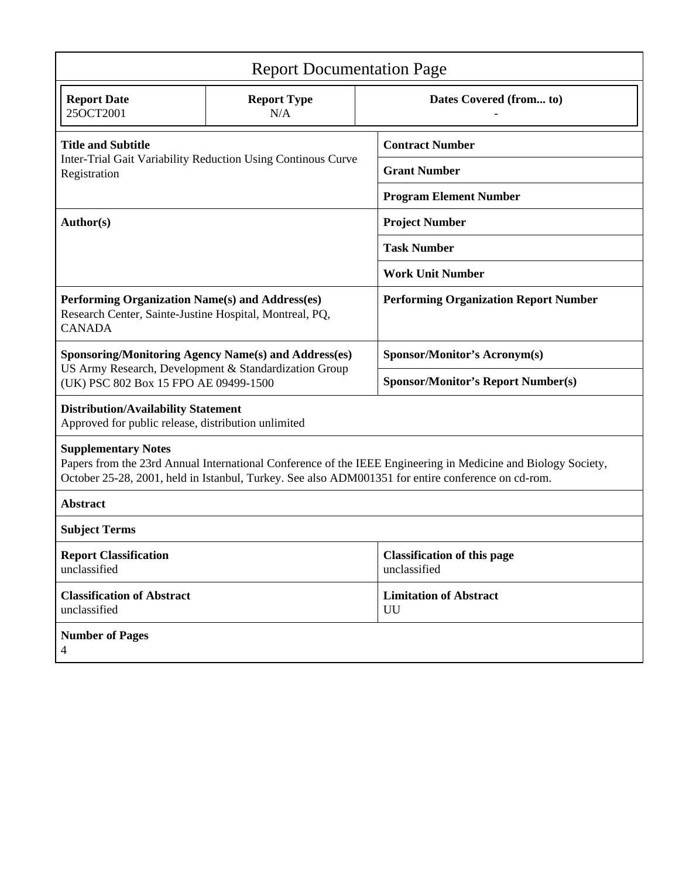| <b>Report Documentation Page</b>                                                                                                                                                                                                                  |                                                              |                                                    |  |  |  |  |
|---------------------------------------------------------------------------------------------------------------------------------------------------------------------------------------------------------------------------------------------------|--------------------------------------------------------------|----------------------------------------------------|--|--|--|--|
| <b>Report Date</b><br>25OCT2001                                                                                                                                                                                                                   | <b>Report Type</b><br>N/A                                    | Dates Covered (from to)                            |  |  |  |  |
| <b>Title and Subtitle</b>                                                                                                                                                                                                                         |                                                              | <b>Contract Number</b>                             |  |  |  |  |
| Registration                                                                                                                                                                                                                                      | Inter-Trial Gait Variability Reduction Using Continous Curve | <b>Grant Number</b>                                |  |  |  |  |
|                                                                                                                                                                                                                                                   |                                                              | <b>Program Element Number</b>                      |  |  |  |  |
| Author(s)                                                                                                                                                                                                                                         |                                                              | <b>Project Number</b>                              |  |  |  |  |
|                                                                                                                                                                                                                                                   |                                                              | <b>Task Number</b>                                 |  |  |  |  |
|                                                                                                                                                                                                                                                   |                                                              | <b>Work Unit Number</b>                            |  |  |  |  |
| Performing Organization Name(s) and Address(es)<br>Research Center, Sainte-Justine Hospital, Montreal, PQ,<br><b>CANADA</b>                                                                                                                       |                                                              | <b>Performing Organization Report Number</b>       |  |  |  |  |
|                                                                                                                                                                                                                                                   | <b>Sponsoring/Monitoring Agency Name(s) and Address(es)</b>  | <b>Sponsor/Monitor's Acronym(s)</b>                |  |  |  |  |
| US Army Research, Development & Standardization Group<br>(UK) PSC 802 Box 15 FPO AE 09499-1500                                                                                                                                                    |                                                              | <b>Sponsor/Monitor's Report Number(s)</b>          |  |  |  |  |
| <b>Distribution/Availability Statement</b><br>Approved for public release, distribution unlimited                                                                                                                                                 |                                                              |                                                    |  |  |  |  |
| <b>Supplementary Notes</b><br>Papers from the 23rd Annual International Conference of the IEEE Engineering in Medicine and Biology Society,<br>October 25-28, 2001, held in Istanbul, Turkey. See also ADM001351 for entire conference on cd-rom. |                                                              |                                                    |  |  |  |  |
| <b>Abstract</b>                                                                                                                                                                                                                                   |                                                              |                                                    |  |  |  |  |
| <b>Subject Terms</b>                                                                                                                                                                                                                              |                                                              |                                                    |  |  |  |  |
| <b>Report Classification</b><br>unclassified                                                                                                                                                                                                      |                                                              | <b>Classification of this page</b><br>unclassified |  |  |  |  |
| <b>Classification of Abstract</b><br>unclassified                                                                                                                                                                                                 |                                                              | <b>Limitation of Abstract</b><br>UU                |  |  |  |  |
| <b>Number of Pages</b><br>4                                                                                                                                                                                                                       |                                                              |                                                    |  |  |  |  |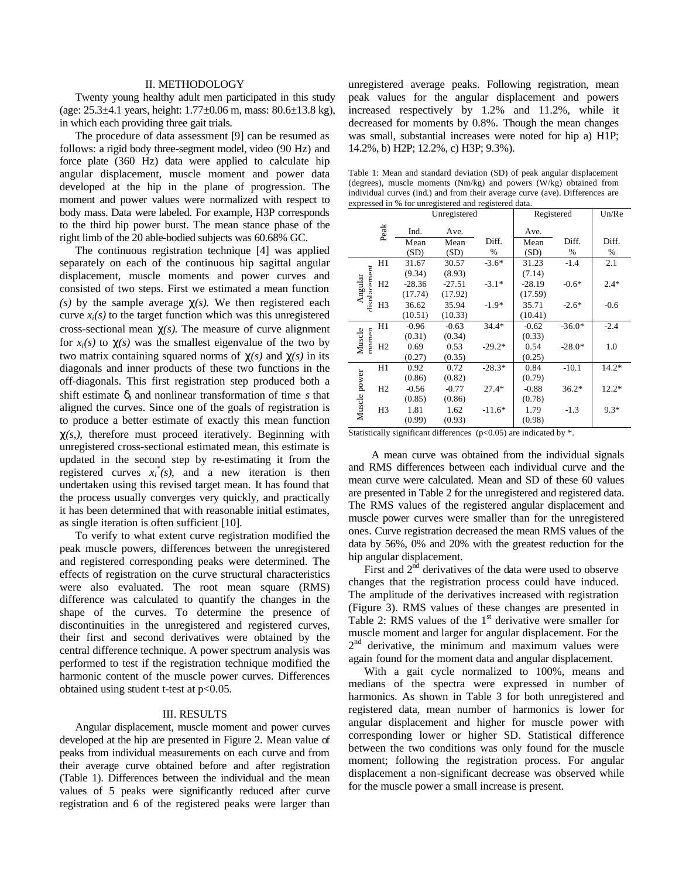### II. METHODOLOGY

Twenty young healthy adult men participated in this study (age: 25.3±4.1 years, height: 1.77±0.06 m, mass: 80.6±13.8 kg), in which each providing three gait trials.

The procedure of data assessment [9] can be resumed as follows: a rigid body three-segment model, video (90 Hz) and force plate (360 Hz) data were applied to calculate hip angular displacement, muscle moment and power data developed at the hip in the plane of progression. The moment and power values were normalized with respect to body mass. Data were labeled. For example, H3P corresponds to the third hip power burst. The mean stance phase of the right limb of the 20 able-bodied subjects was 60.68% GC.

The continuous registration technique [4] was applied separately on each of the continuous hip sagittal angular displacement, muscle moments and power curves and consisted of two steps. First we estimated a mean function *(s)* by the sample average *c(s).* We then registered each curve  $x_i(s)$  to the target function which was this unregistered cross-sectional mean *c(s)*. The measure of curve alignment for  $x_i(s)$  to  $c(s)$  was the smallest eigenvalue of the two by two matrix containing squared norms of  $c(s)$  and  $c(s)$  in its diagonals and inner products of these two functions in the off-diagonals. This first registration step produced both a shift estimate  $\mathbf{d}_l$  and nonlinear transformation of time *s* that aligned the curves. Since one of the goals of registration is to produce a better estimate of exactly this mean function *c(s,)*, therefore must proceed iteratively. Beginning with unregistered cross-sectional estimated mean, this estimate is updated in the second step by re-estimating it from the registered curves  $x_i^*(s)$ , and a new iteration is then undertaken using this revised target mean. It has found that the process usually converges very quickly, and practically it has been determined that with reasonable initial estimates, as single iteration is often sufficient [10].

To verify to what extent curve registration modified the peak muscle powers, differences between the unregistered and registered corresponding peaks were determined. The effects of registration on the curve structural characteristics were also evaluated. The root mean square (RMS) difference was calculated to quantify the changes in the shape of the curves. To determine the presence of discontinuities in the unregistered and registered curves, their first and second derivatives were obtained by the central difference technique. A power spectrum analysis was performed to test if the registration technique modified the harmonic content of the muscle power curves. Differences obtained using student t-test at p<0.05.

# III. RESULTS

Angular displacement, muscle moment and power curves developed at the hip are presented in Figure 2. Mean value of peaks from individual measurements on each curve and from their average curve obtained before and after registration (Table 1). Differences between the individual and the mean values of 5 peaks were significantly reduced after curve registration and 6 of the registered peaks were larger than

unregistered average peaks. Following registration, mean peak values for the angular displacement and powers increased respectively by 1.2% and 11.2%, while it decreased for moments by 0.8%. Though the mean changes was small, substantial increases were noted for hip a) H1P; 14.2%, b) H2P; 12.2%, c) H3P; 9.3%).

Table 1: Mean and standard deviation (SD) of peak angular displacement (degrees), muscle moments (Nm/kg) and powers (W/kg) obtained from individual curves (ind.) and from their average curve (ave). Differences are expressed in % for unregistered and registered data.

|                         | Unregistered   |          |          | Registered | Un/Re    |          |         |
|-------------------------|----------------|----------|----------|------------|----------|----------|---------|
|                         | Peak           | Ind.     | Ave.     |            | Ave.     |          |         |
|                         |                | Mean     | Mean     | Diff.      | Mean     | Diff.    | Diff.   |
|                         |                | (SD)     | (SD)     | %          | (SD)     | %        | %       |
|                         | H1             | 31.67    | 30.57    | $-3.6*$    | 31.23    | $-1.4$   | 2.1     |
|                         |                | (9.34)   | (8.93)   |            | (7.14)   |          |         |
| disnlacement<br>Angular | H2             | $-28.36$ | $-27.51$ | $-3.1*$    | $-28.19$ | $-0.6*$  | $2.4*$  |
|                         |                | (17.74)  | (17.92)  |            | (17.59)  |          |         |
|                         | H <sub>3</sub> | 36.62    | 35.94    | $-1.9*$    | 35.71    | $-2.6*$  | $-0.6$  |
|                         |                | (10.51)  | (10.33)  |            | (10.41)  |          |         |
|                         | H1             | $-0.96$  | $-0.63$  | $34.4*$    | $-0.62$  | $-36.0*$ | $-2.4$  |
|                         |                | (0.31)   | (0.34)   |            | (0.33)   |          |         |
| nomen<br>Muscle         | H2             | 0.69     | 0.53     | $-29.2*$   | 0.54     | $-28.0*$ | 1.0     |
|                         |                | (0.27)   | (0.35)   |            | (0.25)   |          |         |
|                         | H1             | 0.92     | 0.72     | $-28.3*$   | 0.84     | $-10.1$  | $14.2*$ |
|                         |                | (0.86)   | (0.82)   |            | (0.79)   |          |         |
|                         | H <sub>2</sub> | $-0.56$  | $-0.77$  | $27.4*$    | $-0.88$  | $36.2*$  | $12.2*$ |
|                         |                | (0.85)   | (0.86)   |            | (0.78)   |          |         |
| Muscle power            | H <sub>3</sub> | 1.81     | 1.62     | $-11.6*$   | 1.79     | $-1.3$   | $9.3*$  |
|                         |                | (0.99)   | (0.93)   |            | (0.98)   |          |         |

Statistically significant differences ( $p$ <0.05) are indicated by  $*$ .

A mean curve was obtained from the individual signals and RMS differences between each individual curve and the mean curve were calculated. Mean and SD of these 60 values are presented in Table 2 for the unregistered and registered data. The RMS values of the registered angular displacement and muscle power curves were smaller than for the unregistered ones. Curve registration decreased the mean RMS values of the data by 56%, 0% and 20% with the greatest reduction for the hip angular displacement.

First and  $2<sup>nd</sup>$  derivatives of the data were used to observe changes that the registration process could have induced. The amplitude of the derivatives increased with registration (Figure 3). RMS values of these changes are presented in Table 2: RMS values of the 1<sup>st</sup> derivative were smaller for muscle moment and larger for angular displacement. For the 2<sup>nd</sup> derivative, the minimum and maximum values were again found for the moment data and angular displacement.

With a gait cycle normalized to 100%, means and medians of the spectra were expressed in number of harmonics. As shown in Table 3 for both unregistered and registered data, mean number of harmonics is lower for angular displacement and higher for muscle power with corresponding lower or higher SD. Statistical difference between the two conditions was only found for the muscle moment; following the registration process. For angular displacement a non-significant decrease was observed while for the muscle power a small increase is present.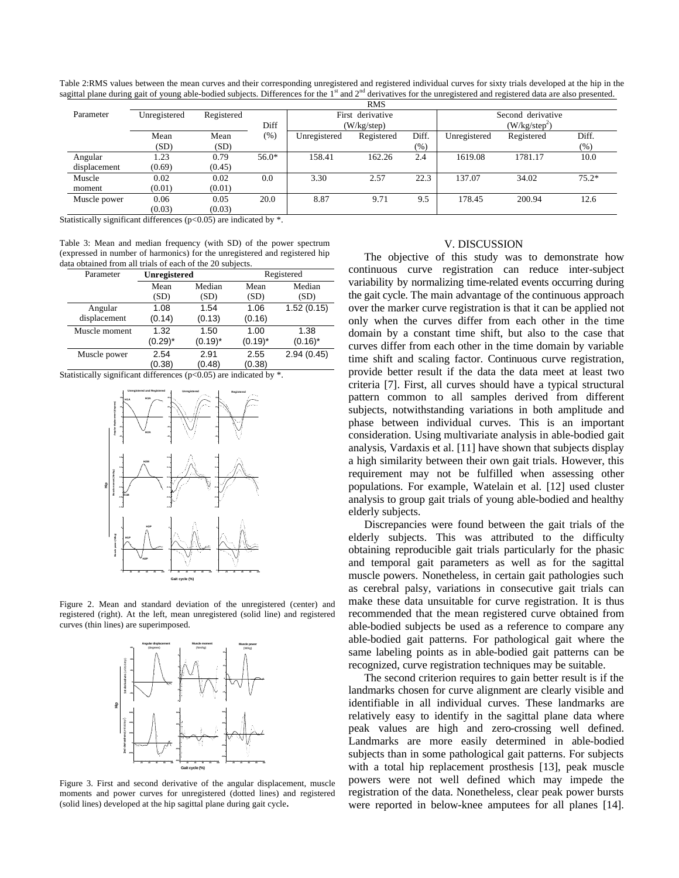Table 2:RMS values between the mean curves and their corresponding unregistered and registered individual curves for sixty trials developed at the hip in the sagittal plane during gait of young able-bodied subjects. Differences for the  $1<sup>st</sup>$  and  $2<sup>nd</sup>$  derivatives for the unregistered and registered data are also presented.

| <b>RMS</b>   |              |            |         |                  |            |                   |              |            |         |
|--------------|--------------|------------|---------|------------------|------------|-------------------|--------------|------------|---------|
| Parameter    | Unregistered | Registered |         | First derivative |            | Second derivative |              |            |         |
|              |              |            | Diff    | (W/kg/step)      |            | $(W/kg/step^2)$   |              |            |         |
|              | Mean         | Mean       | (% )    | Unregistered     | Registered | Diff.             | Unregistered | Registered | Diff.   |
|              | (SD)         | (SD)       |         |                  |            | (% )              |              |            | $(\% )$ |
| Angular      | 1.23         | 0.79       | $56.0*$ | 158.41           | 162.26     | 2.4               | 1619.08      | 1781.17    | 10.0    |
| displacement | (0.69)       | (0.45)     |         |                  |            |                   |              |            |         |
| Muscle       | 0.02         | 0.02       | 0.0     | 3.30             | 2.57       | 22.3              | 137.07       | 34.02      | $75.2*$ |
| moment       | (0.01)       | (0.01)     |         |                  |            |                   |              |            |         |
| Muscle power | 0.06         | 0.05       | 20.0    | 8.87             | 9.71       | 9.5               | 178.45       | 200.94     | 12.6    |
|              | (0.03)       | (0.03)     |         |                  |            |                   |              |            |         |

Statistically significant differences ( $p$ <0.05) are indicated by  $*$ .

Table 3: Mean and median frequency (with SD) of the power spectrum (expressed in number of harmonics) for the unregistered and registered hip data obtained from all trials of each of the 20 subjects.

| Parameter     | Unregistered   |                | Registered     |            |  |
|---------------|----------------|----------------|----------------|------------|--|
|               | Mean           | Median         | Mean           | Median     |  |
|               | (SD)           | (SD)           | (SD)           | (SD)       |  |
| Angular       | 1.08           | 1.54           | 1.06           | 1.52(0.15) |  |
| displacement  | (0.14)         | (0.13)         | (0.16)         |            |  |
| Muscle moment | 1.32           | 1.50           | 1.00           | 1.38       |  |
|               | $(0.29)^*$     | $(0.19)^*$     | $(0.19)^*$     | $(0.16)^*$ |  |
| Muscle power  | 2.54<br>(0.38) | 2.91<br>(0.48) | 2.55<br>(0.38) | 2.94(0.45) |  |

Statistically significant differences ( $p$ <0.05) are indicated by  $*$ .



Figure 2. Mean and standard deviation of the unregistered (center) and registered (right). At the left, mean unregistered (solid line) and registered curves (thin lines) are superimposed.



Figure 3. First and second derivative of the angular displacement, muscle moments and power curves for unregistered (dotted lines) and registered (solid lines) developed at the hip sagittal plane during gait cycle**.**

# V. DISCUSSION

The objective of this study was to demonstrate how continuous curve registration can reduce inter-subject variability by normalizing time-related events occurring during the gait cycle. The main advantage of the continuous approach over the marker curve registration is that it can be applied not only when the curves differ from each other in the time domain by a constant time shift, but also to the case that curves differ from each other in the time domain by variable time shift and scaling factor. Continuous curve registration, provide better result if the data the data meet at least two criteria [7]. First, all curves should have a typical structural pattern common to all samples derived from different subjects, notwithstanding variations in both amplitude and phase between individual curves. This is an important consideration. Using multivariate analysis in able-bodied gait analysis, Vardaxis et al. [11] have shown that subjects display a high similarity between their own gait trials. However, this requirement may not be fulfilled when assessing other populations. For example, Watelain et al. [12] used cluster analysis to group gait trials of young able-bodied and healthy elderly subjects.

Discrepancies were found between the gait trials of the elderly subjects. This was attributed to the difficulty obtaining reproducible gait trials particularly for the phasic and temporal gait parameters as well as for the sagittal muscle powers. Nonetheless, in certain gait pathologies such as cerebral palsy, variations in consecutive gait trials can make these data unsuitable for curve registration. It is thus recommended that the mean registered curve obtained from able-bodied subjects be used as a reference to compare any able-bodied gait patterns. For pathological gait where the same labeling points as in able-bodied gait patterns can be recognized, curve registration techniques may be suitable.

The second criterion requires to gain better result is if the landmarks chosen for curve alignment are clearly visible and identifiable in all individual curves. These landmarks are relatively easy to identify in the sagittal plane data where peak values are high and zero-crossing well defined. Landmarks are more easily determined in able-bodied subjects than in some pathological gait patterns. For subjects with a total hip replacement prosthesis [13], peak muscle powers were not well defined which may impede the registration of the data. Nonetheless, clear peak power bursts were reported in below-knee amputees for all planes [14].